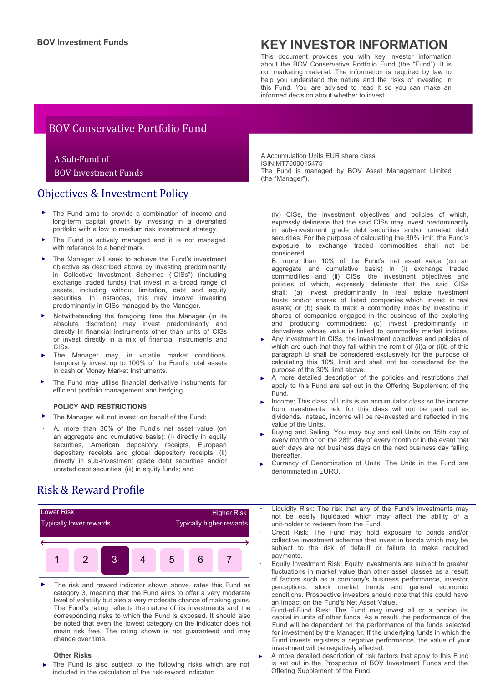# **BOV Investment Funds KEY INVESTOR INFORMATION**

This document provides you with key investor information about the BOV Conservative Portfolio Fund (the "Fund"). It is not marketing material. The information is required by law to help you understand the nature and the risks of investing in this Fund. You are advised to read it so you can make an informed decision about whether to invest.

## BOV Conservative Portfolio Fund

### A Sub-Fund of

### BOV Investment Funds

### Objectives & Investment Policy

- The Fund aims to provide a combination of income and long-term capital growth by investing in a diversified portfolio with a low to medium risk investment strategy.
- The Fund is actively managed and it is not managed with reference to a benchmark. ►
- The Manager will seek to achieve the Fund's investment objective as described above by investing predominantly in Collective Investment Schemes ("CISs") (including exchange traded funds) that invest in a broad range of assets, including without limitation, debt and equity securities. In instances, this may involve investing predominantly in CISs managed by the Manager.
- Notwithstanding the foregoing time the Manager (in its absolute discretion) may invest predominantly and directly in financial instruments other than units of CISs or invest directly in a mix of financial instruments and CISs.
- The Manager may, in volatile market conditions, temporarily invest up to 100% of the Fund's total assets in cash or Money Market Instruments.
- The Fund may utilise financial derivative instruments for efficient portfolio management and hedging.

#### **POLICY AND RESTRICTIONS**

- The Manager will not invest, on behalf of the Fund:
- A. more than 30% of the Fund's net asset value (on an aggregate and cumulative basis): (i) directly in equity securities, American depository receipts, European depositary receipts and global depository receipts; (ii) directly in sub-investment grade debt securities and/or unrated debt securities; (iii) in equity funds; and -

Risk & Reward Profile



The risk and reward indicator shown above, rates this Fund as category 3, meaning that the Fund aims to offer a very moderate level of volatility but also a very moderate chance of making gains. The Fund's rating reflects the nature of its investments and the corresponding risks to which the Fund is exposed. It should also be noted that even the lowest category on the indicator does not mean risk free. The rating shown is not guaranteed and may change over time. ►

#### **Other Risks**

The Fund is also subject to the following risks which are not included in the calculation of the risk-reward indicator:

A Accumulation Units EUR share class ISIN:MT7000015475 The Fund is managed by BOV Asset Management Limited (the "Manager").

(iv) CISs, the investment objectives and policies of which, expressly delineate that the said CISs may invest predominantly in sub-investment grade debt securities and/or unrated debt securities. For the purpose of calculating the 30% limit, the Fund's exposure to exchange traded commodities shall not be considered.

- B. more than 10% of the Fund's net asset value (on an aggregate and cumulative basis) in (i) exchange traded commodities and (ii) CISs, the investment objectives and policies of which, expressly delineate that the said CISs shall: (a) invest predominantly in real estate investment trusts and/or shares of listed companies which invest in real estate; or (b) seek to track a commodity index by investing in shares of companies engaged in the business of the exploring and producing commodities; (c) invest predominantly in derivatives whose value is linked to commodity market indices.
- ► Any investment in CISs, the investment objectives and policies of which are such that they fall within the remit of (ii)a or (ii)b of this paragraph B shall be considered exclusively for the purpose of calculating this 10% limit and shall not be considered for the purpose of the 30% limit above.
- A more detailed description of the policies and restrictions that apply to this Fund are set out in the Offering Supplement of the Fund. ►
- ► Income: This class of Units is an accumulator class so the income from investments held for this class will not be paid out as dividends. Instead, income will be re-invested and reflected in the value of the Units.
- ► Buying and Selling: You may buy and sell Units on 15th day of every month or on the 28th day of every month or in the event that such days are not business days on the next business day falling thereafter.
- Currency of Denomination of Units: The Units in the Fund are denominated in EURO. ►

Liquidity Risk: The risk that any of the Fund's investments may not be easily liquidated which may affect the ability of a unit-holder to redeem from the Fund.

- Credit Risk: The Fund may hold exposure to bonds and/or collective investment schemes that invest in bonds which may be subject to the risk of default or failure to make required payments.
- Equity Investment Risk: Equity investments are subject to greater fluctuations in market value than other asset classes as a result of factors such as a company's business performance, investor perceptions, stock market trends and general economic conditions. Prospective investors should note that this could have an impact on the Fund's Net Asset Value.
- Fund-of-Fund Risk: The Fund may invest all or a portion its capital in units of other funds. As a result, the performance of the Fund will be dependent on the performance of the funds selected for investment by the Manager. If the underlying funds in which the Fund invests registers a negative performance, the value of your investment will be negatively affected.
- A more detailed description of risk factors that apply to this Fund is set out in the Prospectus of BOV Investment Funds and the Offering Supplement of the Fund.